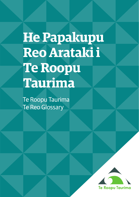# **He Papakupu Reo Arataki i Te Roopu Taurima**

Te Roopu Taurima Te Reo Glossary

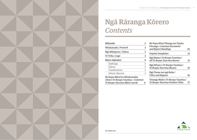## **Ngā Rāranga Kōrero**  *Contents*

| Mihimihi                           | 2 | He Pepa Whai Tikanga me Ūpoko                               |     |
|------------------------------------|---|-------------------------------------------------------------|-----|
| Whakatauki / Proverb               |   | Pūrongo / Common Document<br>and Report Headings            | 10  |
| Ngā Mātāpono / Values              | 3 |                                                             | 12  |
| Te Tohu / Logo                     | 3 | Pepeha Templates                                            |     |
| Māori Alphabet                     | 4 | Ngā Rūma i Te Roopu Taurima /<br>All Te Roopu Taurima Rooms | 13. |
| Dipthongs                          | 5 | Ngã Whare o Te Roopu Taurima /                              |     |
| <b>Dialects</b>                    | 5 | Te Roopu Taurima Houses                                     | 14  |
| Transliterations                   | 5 |                                                             |     |
| Tohutō / Macrons                   | 5 | Ngā Tāone me ngā Rohe /                                     |     |
| He Kupu Māori ka Whakamahia        |   | <b>Cities and Regions</b>                                   | 16  |
| i Roto i Te Roopu Taurima / Common |   | Tūranga Mahi o Te Roopu Taurima /                           |     |
| Te Roopu Taurima Māori words       | 6 | <b>Te Roopu Taurima Position Titles</b>                     | 17  |



OCTOBER 2021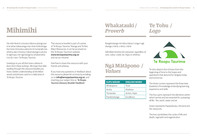## **Mihimihi**

He mihi tēnei ki a koutou kātoa e pirangi ana ki te whai mātauranga mai i ēnei tuhituhinga. Kia mutu tā koutou pānui ko te tumanako kia whānui ake ō koutou māramatanga e pā ana ki ngā kupu me ngā kīanga ka whakamahia (i ia rā) i roto i Te Roopu Taurima.

*Greetings to you all that have a desire to learn from these writings. We hope that after reading through this resource booklet you have a better understanding of the Māori words and phrases used on a daily basis in Te Roopu Taurima.*

This resource booklet is part of a series of Te Roopu Taurima Tikanga and Te Reo Māori Resources, it can be accessed on the Te Roopu Taurima's website, www.terooputaurima.org.nz and via our intranet.

Feel free to share this resource with your friends and whānau.

If you have any questions or feedback about this resource please let us know by emailing us on info@terooputaurima.org.nz, and inserting your subject line as *'Te Roopu Taurima Glossary Booklet Feedback'*.

## **Whakatauki /**  *Proverb*

## **Te Tohu /** *Logo*

Rangitiratanga mō tātou kātoa I runga I ngā tikanga o tēnā, o tēnā, o tēnā

*Self-determination for everyone, regardless of race, colour, creed, iwi, hapu or whānau.*

## **Ngā Mātāpono /**  *Values*

| <b>KUPU MĀORI</b> | <b>ENGLISH WORD</b> |
|-------------------|---------------------|
| Whakapono         | Trust               |
| Aroha             | <b>Kindness</b>     |
| Tūmanako          | Action, Hope        |
| Panekiretanga     | Fxcellence          |



Te tohu depicts the richness from the beginning of time to the hopes and aspirations that abound for tāngata today and tomorrow.

The three corners represent the three kete (baskets) of knowledge embodying learning, experience and skills.

The four parts represent the elements within which we live and are essential for sustaining all life - fire, earth, water and air.

Green represents Papatūānuku, the land and her resources.

The koru symbolises the cycles of life and death, regrowth and regeneration.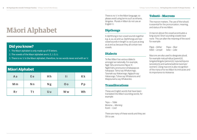## **Māori Alphabet**

#### **Did you know?**

- 1. The Maori alphabet is only made up of 15 letters.
- 2. The vowels of the Maori alphabet are A, E, I, O, U.
- 3. There is no 's' in the Maori alphabet; therefore, te reo words never end with an 's'.

| <b>Mäori Alphabet</b> |    |           |                |           |  |
|-----------------------|----|-----------|----------------|-----------|--|
| Aa                    | Ee | Ηh        | Ιi             | <b>Kk</b> |  |
| M <sub>m</sub>        | Nn | <b>Ng</b> | 0 <sub>o</sub> | $P_{p}$   |  |
| <b>R</b> r            | Τt | Uu        | W w            | Wh        |  |

There is no 's' in the Māori language, so please avoid using terms such as whares, tāngatas. Plurals in Māori do not use an English 's'.

#### **Dipthongs**

A diphthong is two vowel sounds together e.g. ai, au, ao and ua. Diphthongs are two vowel sounds in length i.e. ea is just as long as ai and au because they all contain two vowels.

#### **Dialects**

Te Reo Māori has various dialects amongst iwi nationally. For example, Ngāi Tahu pronounce Ng as 'K', Ngāti Kahu pronounce whakapapa as hakapapa. Tainui say Whakarongo, Taranaki say Wakarongo, Ngāpuhi say Hakarongo, Tuhoe say Whakarono and Waipounamu say Whakaroko.

#### **Transliterations**

These are English words that have been translated into Māori sounding words, for example:

Tepu — *Table* Morena — *Morning* Kooti — *Coat*

There are many of these words and they are OK to use.

#### **Tohutō – Macrons**

The macron matters. The use of the tohutō is essential for the pronunciation, meaning, and status of te reo Māori.

A macron above the vowel accentuates a long sound. Short sounding vowels have none. This can alter the meaning of the word for example:

| Pāpā — father | Papa $-$ floor |
|---------------|----------------|
| Kēkē — armpit | $keke - cake$  |

Macrons are also used to designate plural, for example matua/mātua (parent/s), tangata/tāngata (person/s), tupuna/tūpuna (ancestor/s) and wahine/wāhine (woman/ women). Using macrons is also recognition of the mana of te reo Māori its intricacies and its importance to Aotearoa.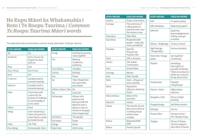## **He Kupu Māori ka Whakamahia i Roto i Te Roopu Taurima /** *Common Te Roopu Taurima Māori words*

The table below lists and translates common words used within Te Roopu Taurima .

| <b>KUPU MĀORI</b>                                   | <b>ENGLISH WORD</b>                                                          | <b>KUPU MĀORI</b>                        | <b>ENGLISH WORD</b>                                                |
|-----------------------------------------------------|------------------------------------------------------------------------------|------------------------------------------|--------------------------------------------------------------------|
| Aē                                                  | Yes                                                                          | Hongi                                    | Greeting by pressing<br>noses together                             |
| Arohamai                                            | Sorry; Excuse me;<br>Forgive me; Bare<br>with me                             | Hui                                      | Meeting;<br>Conference;<br>Gathering                               |
| Atua                                                | God                                                                          | Hura Kōhatu                              |                                                                    |
| Aua / Ahaua                                         | Don't know                                                                   |                                          | Unveiling                                                          |
| <b>Auē!</b>                                         | Oh!                                                                          | Huritau                                  | Birthday                                                           |
| E noho rā                                           | Goodbye (said to                                                             | Inoi                                     | Prayer                                                             |
|                                                     | someone staying)                                                             | lwi                                      | Tribe; People from<br>the same tribe /                             |
| Goodbye (said to<br>Haere rā<br>someone leaving)    |                                                                              | area; Bones                              |                                                                    |
|                                                     |                                                                              | Kāhore / Kāore / Kāo                     | <b>No</b>                                                          |
| Haka                                                | Chant done with                                                              | Kai                                      | Food; Eat                                                          |
|                                                     | a dance for the<br>purpose of challenge<br>(or acknowledge in<br>some cases) | Kai karanga                              | Women who<br>performs the<br>karanga (calls the<br>Manuhiri onto a |
| Hākari                                              | Feast                                                                        |                                          | Marae or Area of                                                   |
| Hāngi<br>Oven comprising a<br>hole in the ground in |                                                                              | Powhiri or Kaupapa<br>that is happening) |                                                                    |
|                                                     | which food is cooked                                                         | Kai kōrero                               | The speaker                                                        |
|                                                     | by heated stones                                                             | Kai waiata                               | Singer                                                             |
| Hapu                                                | Sub Tribe                                                                    | Kāinga                                   | Home                                                               |
| Hau Kāinga                                          | Home people; Hosts                                                           | Kapa haka                                | Action song                                                        |

| <b>KUPU MĀORI</b>      | <b>ENGLISH WORD</b>                       | <b>KUPU MĀORI</b>            | <b>ENGLISH WORD</b>                                                                       |  |
|------------------------|-------------------------------------------|------------------------------|-------------------------------------------------------------------------------------------|--|
| Karakia                | Prayer; Incarnations                      | Mihi                         | To speak publicly                                                                         |  |
| Karanga                | The ceremony of<br>calling quests to      | Mihi Whakatau                | Welcoming speech                                                                          |  |
|                        | welcome them onto<br>the marae or area    | Mihimihi                     | Speeches;<br>Acknowledgements;                                                            |  |
| Kaumatua               | Elder Male                                |                              | Talking amongst                                                                           |  |
| Kaumātua               | Respected older<br>people - male; dad;    |                              | ourselves                                                                                 |  |
|                        | uncle, grandfather                        | Nehua; Tangihanga            | To bury; Funeral                                                                          |  |
| Kaupapa                | Agenda;<br>Programme;                     | Ngā Ratonga<br>Tikanga Māori | Service standards                                                                         |  |
|                        | Purpose; Plan                             | Noho tahi / Hanga            | Get together/                                                                             |  |
| Koha                   | Gift or donation                          | pūtea                        | Fundraising                                                                               |  |
| Kōrero                 | Talk; Speak;<br>Conversation              | Pēpeha                       | Genealogy;<br>Description of                                                              |  |
| Koro                   | Grand Father                              |                              | yourself and family;<br>Tribal connections to<br>where you and your<br>family decent from |  |
| Koronga                | Mission                                   |                              |                                                                                           |  |
| Kuia                   | Elder Female                              |                              |                                                                                           |  |
| Mahi                   | Work - All types of<br>work, activities   | Poroporoaki                  | Farewell                                                                                  |  |
| Mana                   | Reputation;                               |                              | (Tangihanga)                                                                              |  |
|                        | Influence; Authority;<br>Power            | Pōwhiri / Pōhiri             | Official Maori<br>welcome                                                                 |  |
| Mana whenua            | Māori of the<br>local area                | Rangatira / Ariki            | Person of high<br>standing                                                                |  |
| Manuhiri               | <b>Visitors</b>                           |                              | Self determination                                                                        |  |
| Marae                  | The area for formal                       | Rangatiratanga               |                                                                                           |  |
|                        | discourse in front of<br>a meeting house; | Ratonga                      | Service                                                                                   |  |
| whole marae<br>complex |                                           | Roopu Kāhui                  | Korowai Aroha /<br>Pou Tikanga Group                                                      |  |
| Matua                  | Respected Male<br>Elder                   | Tangata                      | Person Te Roopu<br>Taurima supports;<br>also refers to Person                             |  |
| Mātua                  | Parents (plural)                          |                              |                                                                                           |  |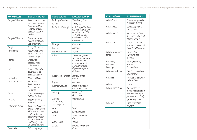| <b>KUPU MĀORI</b>                      | <b>ENGLISH WORD</b>                                                                           | <b>KUPU MĀORI</b>                       | <b>ENGLISH WORD</b>                                                                                           |  |
|----------------------------------------|-----------------------------------------------------------------------------------------------|-----------------------------------------|---------------------------------------------------------------------------------------------------------------|--|
| Tangata Whaiora<br>Person we support   |                                                                                               | Te Roopu Taurima                        | The Caring Group                                                                                              |  |
|                                        | who has a mental                                                                              | Te Tari                                 | The office                                                                                                    |  |
| Tangata Whenua                         | health condition<br>- literally means<br>('person chasing<br>wellness)<br>People of the land; | Te Tiriti o Waitangi                    | In Te Roopu Taurima<br>we only refer to the<br>Māori version of Te<br>Tiriti o Waitangi,<br>we do not use the |  |
|                                        | People of the area                                                                            |                                         | English term                                                                                                  |  |
|                                        | you are visiting                                                                              | Tikanga                                 | Protocols                                                                                                     |  |
| Tangi                                  | To cry; To mourn                                                                              | Tipuna                                  | Ancestors                                                                                                     |  |
| Tangihanga                             | Mourning period<br>after someone has                                                          | Titiro Whakamua                         | Vision                                                                                                        |  |
|                                        | passed away                                                                                   | Tohu                                    | The name given to<br>Te Roopu Taurima's                                                                       |  |
| Taonga                                 | <b>Treasured</b><br>possession or<br>cultural item                                            |                                         | logo; also refers<br>to other symbolic<br>achievements i.e.<br>degree, certificate,<br>diploma                |  |
| Tapu                                   | Sacred: Not to be<br>touched; To be<br>avoided; Taboo                                         |                                         |                                                                                                               |  |
| Tari Matua                             | National Office                                                                               | Tuakiri o Te Tangata                    | Identity of the<br>Person                                                                                     |  |
| Tauira Poutama                         | Employee                                                                                      | Tupuna                                  | Ancestors                                                                                                     |  |
|                                        | Performance<br>Development                                                                    | Tūrangawaewae                           | Place of standing<br>(on own Marae)                                                                           |  |
| Tauiwi                                 | Appraisal<br>Non-Māori people                                                                 | Wānanga                                 | Learning/                                                                                                     |  |
|                                        | in New Zealand                                                                                |                                         | <b>Discussion</b>                                                                                             |  |
| Tautoko                                | Support; Assist;<br>Facilitate                                                                | Wahine,<br>hoa wahine,<br>hoa rangatira | Woman, wife                                                                                                   |  |
| Te Oranga Pumau                        | Client lifestyle/care<br>plans; A plan of life                                                | Waiata                                  | Song                                                                                                          |  |
|                                        | skills that support                                                                           | Wairua                                  | Spiritual being                                                                                               |  |
| and develop self-<br>determination for | Waka                                                                                          | <b>Traditional Maori</b><br>Canoe       |                                                                                                               |  |
|                                        | tangata (clients)<br>and family under                                                         | Wāriu / Uara                            | Values                                                                                                        |  |
| Te reo Māori                           | Te Roopu Taurima<br>Māori language                                                            | Whaea                                   | Respected Female<br>Elder                                                                                     |  |

| <b>KUPU MĀORI</b>                 | <b>ENGLISH WORD</b>                                                                                         |
|-----------------------------------|-------------------------------------------------------------------------------------------------------------|
| Whaikōrero                        | The art and practice<br>of speech making                                                                    |
| Whakapapa                         | Genealogy; Family<br>connections                                                                            |
| Whakatauākī                       | Is a proverb where<br>the person who said<br>it first is known                                              |
| <b>Whakatauki</b>                 | Is a proverb where<br>the person who said<br>it first is NOT known                                          |
| Whakawhanaunga-<br>tanga          | <i><u><b>Introductions</b></u></i><br>/ Meeting and<br>greeting                                             |
| Whānau /<br>Whanaunga/<br>hononga | Family, Families,<br>Relations.<br>Connections                                                              |
| Whanaungatanga                    | Family connections;<br>Relationship                                                                         |
| Whāngai                           | Fostered or adopted<br>child, to feed                                                                       |
| Whare                             | House                                                                                                       |
| Whare Tapa Whā                    | A Māori service<br>model incorporating<br>a holistic view of a<br>person - mind, body,<br>spirit and family |
| Whenua                            | Land, homeland,<br>country                                                                                  |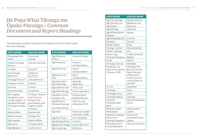## **He Pepa Whai Tikanga me Ūpoko Pūrongo /** *Common Document and Report Headings*

The table below provides a summary and translation of common report and/or document headings:

| <b>KUPU MĀORI</b>                                                              | <b>ENGLISH WORD</b>                    | <b>KUPU MĀORI</b>                        | <b>ENGLISH WORD</b>                        |
|--------------------------------------------------------------------------------|----------------------------------------|------------------------------------------|--------------------------------------------|
| Āhuatanga Noho<br>Hāpori                                                       | Community<br>Lifestyle                 | Ngā Mātāpono<br>Whanui                   | <b>General Principles</b>                  |
| Arataki Tirohanga<br>Whānui                                                    | <b>Induction Overview</b>              | Ngā Karere atu                           | Outward<br>Correspondence                  |
| He pātai?                                                                      | Question?                              | Ngā Karere mai                           | Inward                                     |
| He Tirohanga<br>Matua anō                                                      | <b>Additional</b><br><b>Key Points</b> | Ngā Karere o te<br>Poari                 | Correspondence<br>Board<br>Correspondence  |
| Hononga/Tohutoro                                                               | Links/references                       |                                          |                                            |
| Kaupapa / te take                                                              | Purpose                                | Ngā Kupu Āpiti /<br>Ngā Āpitihanga       | Appendix;<br>Appendices                    |
| Kirimana                                                                       | Contract                               | Ngā mahi hei mahi                        | <b>Action Lists</b>                        |
| Kupu Whakataki                                                                 | Introduction                           | Ngā Mahi Ratonga                         | Service Operations                         |
| Ma te ngakau<br>(Te Roopu Taurima's<br>tāpatahi ka tutuki -<br>vision) Success | Ngā Miniti o te hui<br>kua pāhuri atu  | Previous Board<br><b>Meeting Minutes</b> |                                            |
| ma ngā tangata, ma<br>ngā tauwhirotanga.<br>Ka puawai te apopo                 | through unity -<br>great people, great | Ngā Mōhiohio /<br>Whakamōhiotanga        | Note; For your<br>information (FYI)        |
| nui.                                                                           | support, a great<br>tomorrow           | Kia mōhio mai koe.                       |                                            |
| Māhere Pākihi                                                                  | <b>Business Plan</b>                   | Ngā pepa                                 | Papers (as in papers<br>attached in email) |
| Māhere Rautaki                                                                 | Strategic Plan                         | Ngā Puka Tauira                          | Form Templates                             |
| Ngā Haepapa                                                                    | Responsibilities                       | Ngā Rāranga Kōrero                       | Contents                                   |
| Ngā Karere                                                                     | Correspondence                         | Ngā Rauemi Tangata                       | Human Resources                            |
| Ngā Mātāpono                                                                   | <b>Guiding Values</b>                  | Ngā Tautuhinga                           | Definitions                                |

| KUPU MĀORI         | <b>ENGLISH WORD</b>                  |
|--------------------|--------------------------------------|
| Ngā Tohu Kounga    | Quality Indicators                   |
| Ngā Tohutoro me    | References and                       |
| ngā Rauemi         | Resources                            |
| Ngā Whainga        | Objectives                           |
| Ngā Whakamāhuki /  | Agenda                               |
| Kaupapa            |                                      |
| Ngā Whakapānga Atu | Contacts                             |
| Papakupu           | Glossary                             |
| Pitopito kõrero    | Notes                                |
| Pūrongo Turehere   | Policy Statement                     |
| Pūtake / whainga   | Aim                                  |
| Rehita o ngā       | Conflict of Interest                 |
| Whakaaro Rongorua  | Register                             |
| Tauāki             | <b>Mission</b>                       |
| Te Hunga i Tae mai | <b>Attendees</b>                     |
| Te Ripoata o Te    | Attached is the                      |
| Poari mõ te marama | <b>Board of Trustees</b>             |
| o Pépuere 2016     | Report February                      |
|                    | 2016 (amend                          |
|                    | month, year and<br>name of report as |
|                    | required)                            |
| Te Ture            | Legislation                          |
| Tirohanga          | Scope                                |
| Tirohanga ki mua   | Vision                               |
| Tirohanga Whānui   | Overview                             |
| Tohutohu           |                                      |
| Whakawhanake       | Maori Development<br>Advice          |
| Māori              |                                      |
| Whakahou Mahi      | Administration                       |
| Whakahaere         | Update                               |
| Whakahou Ratonga   | Finance and                          |
| Pūtea me te        | Corporate Services                   |
| Ratonga Rangatōpū  | Update                               |
| Whakarāpopoto o    | <b>Executive Summary</b>             |
|                    |                                      |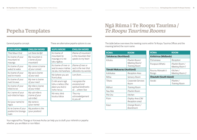## **Pepeha Templates**

General pepeha concept:

These are alternative pepeha options to use:

| <b>KUPU MĀORI</b>                                   | <b>ENGLISH WORD</b>                            | <b>KUPU MĀORI</b>                                                  | <b>ENG</b>             |
|-----------------------------------------------------|------------------------------------------------|--------------------------------------------------------------------|------------------------|
| Tihei Mauri Ora!                                    | Let there be life!                             | Ko (name of                                                        | (Nan                   |
| Ko (name of your<br>mountain) te<br>maunga          | My mountain is<br>(name of your<br>mountain)   | mountain) te<br>maunga e rū nei<br>taku ngākau                     | is the<br>spea         |
| Ko (name of your<br>waka) te waka                   | My canoe is (name<br>of your canoe)            | Ko (name of river or<br>sea) te awa e mahea<br>nei aku mā harahara | (Nan<br>sea)<br>allevi |
| Ko (name of your<br>sea) te moana                   | My sea is (name<br>of your sea)                | Nō (where you are<br>from) ahau                                    | lam                    |
| Ko (name of your<br>river) te awa                   | My river is (name<br>of your river)            | E mihi ana ki ngā                                                  | I reco                 |
| Ko (name of your<br>tribe) te iwi                   | My tribe is (name<br>of your tribe)            | tohu o nehe, o (the<br>place you live) e<br>noho nei au            | ance<br>spirit<br>of   |
| Ko (name of your<br>sub-tribe) te hapu              | My sub-tribe is<br>(name of your<br>sub-tribe) | Nō reira, tēnā<br>koutou kātoa                                     | Thus<br>ackn<br>to yo  |
| Ko (your name) te<br>ingoa                          | My name is<br>(your name)                      |                                                                    |                        |
| Ko te (name of your<br>position) te tūranga<br>mahi | My position is the<br>(your position)          |                                                                    |                        |

| <b>KUPU MĀORI</b>                                                           | <b>ENGLISH WORD</b>                                                       |
|-----------------------------------------------------------------------------|---------------------------------------------------------------------------|
| Ko (name of<br>mountain) te<br>maunga e rū nei<br>taku ngākau               | (Name of mountain)<br>is the mountain that<br>speaks to my heart          |
| Ko (name of river or<br>sea) te awa e mahea<br>nei aku mā harahara          | (Name of river or<br>sea) is the river that<br>alleviates my worries      |
| Nō (where you are<br>from) ahau                                             | I am from                                                                 |
| E mihi ana ki ngā<br>tohu o nehe,o (the<br>place you live) e<br>noho nei au | I recognize the<br>ancestral and<br>spiritual landmarks<br>ofwhere I live |
| Nō reira, tēnā<br>koutou kātoa                                              | Thus my<br>acknowledgement<br>to you all                                  |

## **Ngā Rūma i Te Roopu Taurima /** *Te Roopu Taurima Rooms*

The table below overviews the meeting rooms within Te Roopu Taurima Offices and the meaning behind the room name:

| <b>RŪMA</b>                   | <b>ROOM</b>                                     |  |
|-------------------------------|-------------------------------------------------|--|
| <b>Taitokerau (Northland)</b> |                                                 |  |
| Kōtuku                        | Põwhiri Room/<br>Meeting Room/<br>Training Room |  |
| Tāmaki Makaurau (Auckland)    |                                                 |  |
| Kahikatea                     | Reception Area                                  |  |
| Rēhia                         | Sensory Room                                    |  |
| Tōtara                        | Corporate Services<br>Room                      |  |
| Māhuri                        | Training Room                                   |  |
| Nau Mai                       | Põwhiri Room                                    |  |
| Piki Ora                      | Kitchen                                         |  |
| Pūriri                        | Display Area (Old<br>Reception area)            |  |
| Kāuri                         | Orange Room /<br>Boardroom                      |  |

| <b>RŪMA</b>               | <b>ROOM</b>                       |  |
|---------------------------|-----------------------------------|--|
| Kirikiriroa (Midlands)    |                                   |  |
| Pūmanawa                  | Reception                         |  |
| Purapura Whetū            | Põwhiri Room /<br>Meeting Room 1  |  |
| Rourou Manaaki ō<br>Rongo | Kitchen/<br>Meeting Room 2        |  |
| Ōtautahi (South Island)   |                                   |  |
| Aoraki                    | Pōwhiri /<br><b>Training Room</b> |  |

Your regional Pou Tikanga or Korowai Aroha can help you to draft your mihimihi or pepeha whether you are Māori or non-Māori.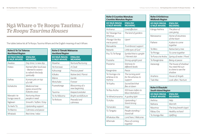## **Ngā Whare o Te Roopu Taurima /**  *Te Roopu Taurima Houses*

The tables below list all Te Roopu Taurima Whare and the English meaning of each Whare.

| <b>Rohe O Te Tai Tokerau</b><br><b>Northland Region</b> | Rohe O<br><b>Aucklan</b>           |                          |
|---------------------------------------------------------|------------------------------------|--------------------------|
| KO NGĀ INGOA<br>O NGĀ WHARE                             | <b>ENGLISH</b><br><b>MEANING</b>   | <b>KO NGĀ</b><br>O NGĀ \ |
| Awatea                                                  | Day time / a new day               | Atawhai                  |
| Hoteo                                                   | Named after local awa              | He Koro                  |
|                                                         | - likened to wajora                | Kahuran                  |
|                                                         | to refresh the body<br>spiritually | Kōkako                   |
| Kaihau                                                  | Kumara pits on top                 | Mārire                   |
|                                                         | of a hill.                         | Motuhak                  |
| Kohekohe                                                | Medicinal tree<br>(grew around the | Puawaita                 |
|                                                         | Kaikohe area)                      | Taurima                  |
| Manaaki i te                                            | Nurturing those                    | Te Ao Mi                 |
| hunga rawa iti                                          | people in need                     | <b>Te Ririko</b>         |
| Ngāwari                                                 | Smooth / Soften / Easy             |                          |
| Te Awhi Tū                                              | Upstanding support                 |                          |
| Te Marino                                               | Calmness and peace                 |                          |
| Whakatā                                                 | Rest time / relax                  |                          |

| Rohe O Tāmaki Makaurau<br><b>Auckland Region</b> |                                  |  |
|--------------------------------------------------|----------------------------------|--|
| <b>KO NGÃ INGOA</b><br>O NGA WHARE               | <b>ENGLISH</b><br><b>MEANING</b> |  |
| Atawhai                                          | Nurture/Nurturing                |  |
| He Korowai                                       | A Cloak                          |  |
| Kahurangi                                        | Precious jewel                   |  |
| Kōkako                                           | Native bird / Parrot             |  |
| Mārire                                           | Gentle                           |  |
| Motuhake                                         | Forever                          |  |
| Puawaitanga                                      | Blossoming of a<br>new beginning |  |
| Taurima                                          | Keeper/caretaker                 |  |
| Te Ao Mārama                                     | Bright world/future              |  |
| Te Ririkore                                      | Peaceful and<br>calmness         |  |

| <b>Rohe O Counties Manukau</b><br><b>Counties Manukau Region</b> |                                                   |                              |
|------------------------------------------------------------------|---------------------------------------------------|------------------------------|
| <b>KO NGÃ INGOA</b><br>O NGĀ WHARE                               | <b>ENGLISH</b><br><b>MEANING</b>                  | К<br>C                       |
| Arohanui                                                         | Love/affection                                    | K                            |
| He Tokanga Hua<br>Whenua                                         | The land of gardens                               | N                            |
| I Runga I (te tika<br>me te pono)                                | Upon!                                             | P                            |
| Manaakitia                                                       | To embrace/ support                               |                              |
| Matariki                                                         | Little eyes of God                                | Т                            |
| Pou Tū Te Rangi                                                  | Symbol that is upright<br>/ Harvest star          | T<br>Т                       |
| Poukaha                                                          | Strong upright post                               | T                            |
| Poutama                                                          | Stairway to<br>different levels                   | A                            |
| Rangimārie                                                       | Peace                                             |                              |
| Te Huringa o te<br>whānau ki te<br>Awhina                        | The turning point<br>for the whanau to<br>support | A<br>$\overline{\mathsf{T}}$ |
| Te Kaahu                                                         | Sacred bird that<br>flies at dawn                 | R                            |
| Te Rau Aroha                                                     | 100 loves (refers to<br>Maori Battalion)          | Ś<br>K                       |
| Te Whetūmarama                                                   | A guiding light                                   | O                            |
| Tū Kaha                                                          | Upstanding/<br>Stand strong                       | А<br>N                       |
| Tūmanako                                                         | Hope                                              | Ν                            |
| Tū Tangata                                                       | People standing /<br>Stand tall                   | R<br>T                       |
| Whakatau Mai                                                     | Land here / Welcome                               |                              |
| Whirinaki                                                        | Place of coming<br>together                       |                              |

| <b>Rohe O Kirikiriroa</b><br><b>Midlands Region</b> |                                                                           |  |
|-----------------------------------------------------|---------------------------------------------------------------------------|--|
| <b>KO NGÃ INGOA</b><br>O NGĀ WHARE                  | <b>ENGLISH</b><br><b>MEANING</b>                                          |  |
| Kāinga Awhina                                       | The place of<br>care giving                                               |  |
| Manawanui                                           | Home of stoutness<br>of the heart                                         |  |
| Paihere                                             | A place to come<br>together                                               |  |
| Te Miro                                             | Native berry tree                                                         |  |
| Te Piringa                                          | To come together                                                          |  |
| Te Puna o te Aroha                                  | Spring of water / Pond                                                    |  |
| Te Rangimārie                                       | Being at peace                                                            |  |
| Aatarangi                                           | The house of shadow/<br>You need the sun<br>to shine to see the<br>shadow |  |
| Anahera                                             | House of Angels                                                           |  |
| Tiaki Mai                                           | Look after / Nurture                                                      |  |

| Rohe O Ōtautahi<br><b>South Island Region</b> |                                  |  |
|-----------------------------------------------|----------------------------------|--|
| <b>KO NGÃ INGOA</b><br><b>ONGĀ WHARE</b>      | <b>ENGLISH</b><br><b>MEANING</b> |  |
| Awhina                                        | Help                             |  |
| Mahana                                        | Warmth                           |  |
| Mauriroa                                      | The long breath (sign)           |  |
| Rākau Ora                                     | Healthy orchard                  |  |
| Te Aranga Ake                                 | Uplifting                        |  |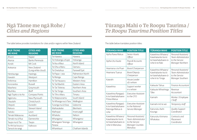## **Ngā Tāone me ngā Rohe /** *Cities and Regions*

The table below provides translations for cities and/or regions within New Zealand:

| <b>NGĀ TĀONE</b><br><b>ME ROHE</b> | <b>CITIES AND</b><br><b>REGIONS</b> | <b>NGĀ TĀONE</b><br><b>ME ROHE</b> | <b>CITIES AND</b><br><b>REGIONS</b> |
|------------------------------------|-------------------------------------|------------------------------------|-------------------------------------|
| Ahuriri                            | Napier                              | Te Hawera                          | Hawera                              |
| Akaroa                             | <b>Banks Peninsula</b>              | Te Hokianga a Kupe                 | Hokianga                            |
| Aoraki                             | Mt Cook                             | Te Ika a Maui                      | North Island                        |
| Aotearoa                           | New Zealand                         | Te Oha a Maru                      | Oamaru                              |
|                                    | (Long white cloud)                  | Te Onetahua                        | Farewell Spit                       |
| Heretaunga                         | <b>Hastings</b>                     | Te Papa-i- oea                     | Palmerston North                    |
| Kawatiri                           | Westport                            | Te Reinga                          | Cape Reinga                         |
| Kirikiriroa                        | Hamilton                            | Te Tai Hauauru                     | Western Area                        |
| Kororareka                         | Russell                             | Te Tai Rāwhiti                     | Eastern Area                        |
| Mawhera                            | Greymouth                           | Te Tai Tokerau                     | Northern Area                       |
| Murihiku                           | Bluff                               | Te Tai Tonga                       | Southern Area                       |
| Ngã Topito o te Ao                 | Compass Points                      | Te Tihi o Maru                     | Timaru                              |
| Ngāmotu                            | New Plymouth                        | Te Waipounamu                      | South Island                        |
| Otautahi                           | Christchurch                        | Te Whanga nui ā Tara               | Wellington                          |
| Otepoti                            | Dunedin                             | Turanga nui ā Kiwa                 | Gisborne                            |
| Rakiura                            | Stewart Island                      | Waiharakeke                        | Blenheim                            |
| Taitoko                            | Levin                               | Waihopai                           | Invercargill                        |
| Tāmaki Makaurau                    | Auckland                            | Whakatu                            | Nelson                              |
| Tāmaki nui ā Rua                   | Dannevirke                          | Whanganui                          | Whanganui                           |
| Taupo nui ā Tia                    | Taupo                               | Whangarei Terenga                  | Whangarei                           |
| Te Ahi kai koura a                 | Kaikoura                            | Paraoa                             |                                     |
| Tama ki te rangi                   |                                     | Wharekauri                         | Chatham Islands                     |

## **Tūranga Mahi o Te Roopu Taurima /** *Te Roopu Taurima Position Titles*

The table below translates position titles:

| <b>TÜRANGA MAHI</b>                                                                  | <b>POSITION TITLE</b>                                                                             |         | <b>TÜRANGA MAHI</b>                                                                   | <b>POSITION TITLE</b>                                                           |
|--------------------------------------------------------------------------------------|---------------------------------------------------------------------------------------------------|---------|---------------------------------------------------------------------------------------|---------------------------------------------------------------------------------|
| Apiha Rawa Matua                                                                     | <b>Senior Assets</b><br>Officer                                                                   |         | Kaiawhina Whaiaro/<br>Kaiwhakarite tira ki<br>te Kaiwhakahaere-ā-<br>rohe ki te Raki  | Personal Assistant/<br>Team Administrator<br>to the Service<br>Manager Northern |
| Apiha Utu Kaute                                                                      | Payroll Accounts<br><b>Officer</b>                                                                |         |                                                                                       |                                                                                 |
| Heamana o te Poari                                                                   | <b>Board Chairperson</b>                                                                          |         | Kaiawhina Whaiaro/<br>Kaiwhakarite tira ki<br>te Kaiwhakahaere-ā-<br>rohe ki te Tonga | Personal Assistant/                                                             |
| Heamana Tuarua                                                                       | <b>Board Deputy</b><br>Chairperson                                                                |         |                                                                                       | Team Administrator<br>to the Service                                            |
| Kaiarahi                                                                             | House Leader<br>of a whare                                                                        |         |                                                                                       | Manager Southern                                                                |
| Kajawhina                                                                            | Support worker                                                                                    |         | Kaikaute Tahua                                                                        | Finance Accountant                                                              |
| in a whare                                                                           | Kaikaute Whiwhinga                                                                                | Revenue |                                                                                       |                                                                                 |
| Kaiawhina Rangapū                                                                    | Executive Assistant                                                                               |         | <b>Täke</b>                                                                           | Accountant                                                                      |
| ki te Kaiwhakahaere<br>Pūtea Matua                                                   | to the CFO                                                                                        |         | Kaimahi                                                                               | Worker / Employee<br>/Staff                                                     |
| Kaiawhina Rangapū<br>ki te Kaiwhakahaere                                             | Executive Assistant<br>to the National                                                            |         | Kaimahi mõ te wā                                                                      | Temporary staff                                                                 |
| Ratonga Matua-ā-<br>rohe                                                             | Service Manager                                                                                   |         | Kairuruku Awhi<br>Kounga                                                              | <b>Quality Support</b><br>Coordinator                                           |
| Kaiawhina Whaiaro/<br>Kaiwhakarite tira ki<br>te Kaiwhakahaere-ā-<br>rohe ki Manukau | Personal Assistant/<br>Team Administrator<br>to the Service<br><b>Manager Counties</b><br>Manukau |         | Kairuruku Kirimana<br>Whakatau                                                        | Contracts and<br>Placement<br>Coordinator                                       |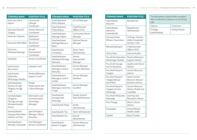| TŪRANGA MAHI                                                                                                                          | <b>POSITION TITLE</b>                         | <b>TÜRANGA MAHI</b>                            | <b>POSITION TITLE</b>                |
|---------------------------------------------------------------------------------------------------------------------------------------|-----------------------------------------------|------------------------------------------------|--------------------------------------|
| Kairuruku Noho<br>Hapori                                                                                                              | Community<br>Lifestyle                        | Kaiwhakahaere<br>Noho Mataara                  | On Call Manager                      |
| Kairuruku Rauemi                                                                                                                      | Coordinator<br>Human Resource                 | Kaiwhakahaere<br>Pūtea Matua                   | Chief Financial<br>Officer (CFO)     |
| Tangata                                                                                                                               | Coordinator                                   | Kaiwhakahaere                                  | Community Service                    |
| Kairuruku Tautono                                                                                                                     | Application<br>Coordinator                    | Ratonga Hāpori                                 | Manager                              |
| Kairuruku Whai Mahi                                                                                                                   | Vocational<br>Coordinator                     | Kaiwhakahaere<br>Ratonga Matua-ā-<br>Motu      | <b>National Service</b><br>Manager   |
| Kairuruku<br>Whakapai Ratonga                                                                                                         | Service<br>Improvement<br>Coordinator         | Kaiwhakarite<br>Tira Matua                     | Senior Team<br>Administrator         |
| Kaitaataki                                                                                                                            | Service Coordinator                           | Kaiwhakahaere<br>Whakapai Ratonga<br>Manukau   | Service<br>Improvement<br>Manager    |
| Kaitohutohu<br>Āhua Noho                                                                                                              | Lifestyle Coach                               | Kaiwhakahaere<br>Ratonga-ā-rohe ki<br>Manukau  | Service Manager<br>Counties Manukau. |
| Kaitohutohu<br>Kaitautoko<br>Whanonga Takatika                                                                                        | Positive Behaviour<br>Support Coach           | Kaiwhakahaere<br>Ratonga-ā-rohe ki<br>te Raki  | Service Manager<br>Northern          |
| Kaiwhakahaere<br>Ahurea mō ngā<br>Tāngata me ngā<br>mahi                                                                              | People,<br>Performance and<br>Culture Manager | Kaiwhakahaere<br>Ratonga-ā-rohe ki te<br>Tonga | Service Manager<br>Southern          |
| Kaiwhakahaere<br>Information and<br>Communication<br>Hangarau<br>Pārongo me ngā<br>Technology<br>Whakawhitiwhiti<br>Manager<br>Kōrero | Kaiwhakarite<br>Kounga Awhi<br>Raraunga       | <b>Quality Support</b><br>Data Administrator   |                                      |
|                                                                                                                                       |                                               | Kaiwhakarite Rawa                              | <b>Assets</b><br>Administrator       |
| Kaiwhakahaere                                                                                                                         | <b>Special Projects</b>                       | Kaiwhakarite Tira                              | Team Administrator                   |
| Kaupapa Motuhake/<br>Manager / Board<br>Kaituhi o te Poari<br>Secretary                                                               | Kaiwhakarite Utu                              | Payroll<br>Administrator                       |                                      |
| Kaiwhakahaere<br>Manaaki / Kaitaataki                                                                                                 | Care Manager/<br>Service Coordinator          | Kaiwhakarite<br>Rauemi Tangata                 | Human Resource<br>Administrator      |

| TŪRANGA MAHI                                     | <b>POSITION TITLE</b>                                        |
|--------------------------------------------------|--------------------------------------------------------------|
| Kaiwhakatau<br>Manuhiri                          | Receptionist                                                 |
| Kaiwhakatau<br>Manuhiri/<br>Kaiwhakarite         | Receptionist /<br>Administrator                              |
| Korowai Aroha<br>Whaea / Kaumatua                | Te Roopu Taurima<br>(elders) respected<br>women / men        |
| Manawhakahaere                                   | Chief Executive<br>Officer (CEO)                             |
| Otita ā Roto                                     | <b>Internal Auditor</b>                                      |
| Pou Ārahi Kaitautoko<br>Whanonga Takatika        | Positive Behaviour<br><b>Support Advisor</b>                 |
| Pou Ārahi Kounga<br>me Te Haumanu                | <b>Quality and Clinical</b><br>Advisor                       |
| Pou Ārahi Rauemi<br>Tangata                      | Human Resource<br>Advisor                                    |
| Pou Ārahi Rauemi<br>Tangata Matua/<br>Hoa Pakihi | Senior Human<br>Resource Advisor/<br><b>Business Partner</b> |
| Pou Ārahi Rauemi<br>Tangata me āna<br>Āheitanga  | Human Resource<br>Advisor People and<br>Capability           |
| Pou Ārahi Whakarite<br>Akoranga                  | Learning and<br><b>Resolution Advisor</b>                    |
| Pou Tikanga                                      | Maori Cultural<br>Advisor                                    |
| Poutaataki                                       | Clinical Mental<br><b>Health Leader</b>                      |
| Tarahiti                                         | <b>Board Trustee</b>                                         |

| The title below is placed after a position<br>title to indicate if a person is in an Acting<br>role· |                        |  |
|------------------------------------------------------------------------------------------------------|------------------------|--|
| Kaitono                                                                                              | Contractor             |  |
| Turanga<br>Kaiwhakakapi                                                                              | <b>Acting Position</b> |  |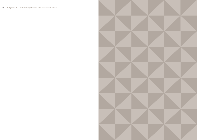**20 He Papakupu Reo Arataki i Te Roopu Taurima** Te Roopu Taurima Te Reo Glossary